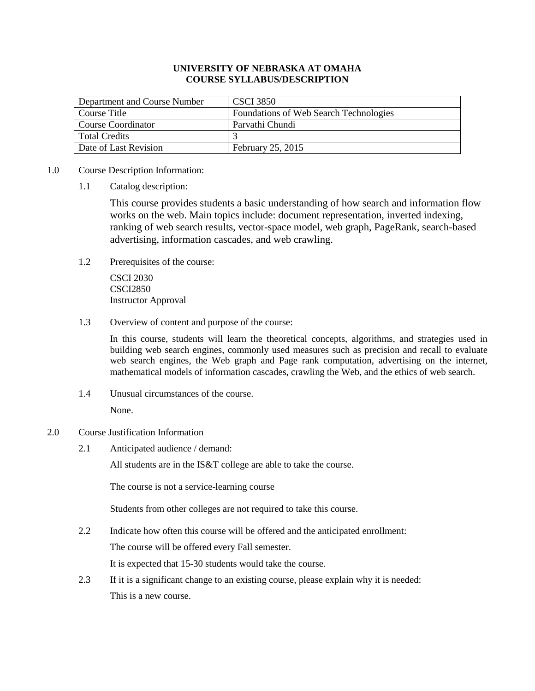### **UNIVERSITY OF NEBRASKA AT OMAHA COURSE SYLLABUS/DESCRIPTION**

| Department and Course Number | <b>CSCI</b> 3850                       |
|------------------------------|----------------------------------------|
| Course Title                 | Foundations of Web Search Technologies |
| Course Coordinator           | Parvathi Chundi                        |
| <b>Total Credits</b>         |                                        |
| Date of Last Revision        | February 25, 2015                      |

#### 1.0 Course Description Information:

1.1 Catalog description:

This course provides students a basic understanding of how search and information flow works on the web. Main topics include: document representation, inverted indexing, ranking of web search results, vector-space model, web graph, PageRank, search-based advertising, information cascades, and web crawling.

1.2 Prerequisites of the course:

CSCI 2030 CSCI2850 Instructor Approval

1.3 Overview of content and purpose of the course:

In this course, students will learn the theoretical concepts, algorithms, and strategies used in building web search engines, commonly used measures such as precision and recall to evaluate web search engines, the Web graph and Page rank computation, advertising on the internet, mathematical models of information cascades, crawling the Web, and the ethics of web search.

1.4 Unusual circumstances of the course.

None.

### 2.0 Course Justification Information

2.1 Anticipated audience / demand:

All students are in the IS&T college are able to take the course.

The course is not a service-learning course

Students from other colleges are not required to take this course.

2.2 Indicate how often this course will be offered and the anticipated enrollment:

The course will be offered every Fall semester.

It is expected that 15-30 students would take the course.

2.3 If it is a significant change to an existing course, please explain why it is needed: This is a new course.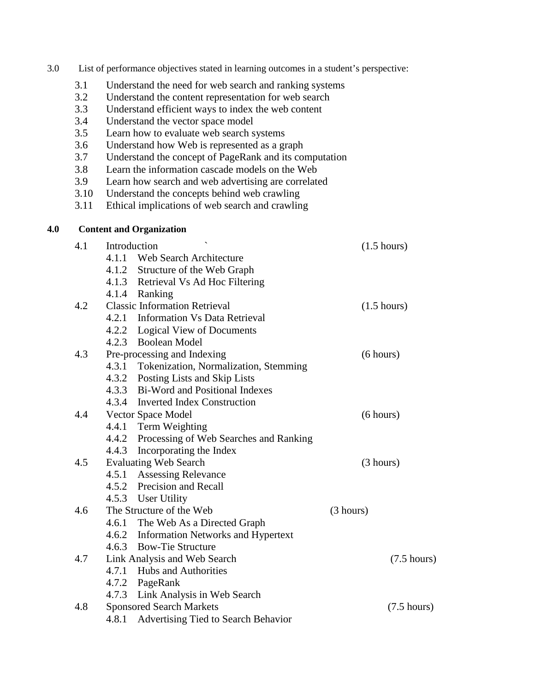| 3.0 | List of performance objectives stated in learning outcomes in a student's perspective: |  |  |  |  |
|-----|----------------------------------------------------------------------------------------|--|--|--|--|
|     |                                                                                        |  |  |  |  |

- 3.1 Understand the need for web search and ranking systems
- 3.2 Understand the content representation for web search
- 3.3 Understand efficient ways to index the web content
- 3.4 Understand the vector space model<br>3.5 Learn how to evaluate web search s
- Learn how to evaluate web search systems
- 3.6 Understand how Web is represented as a graph
- 3.7 Understand the concept of PageRank and its computation
- 3.8 Learn the information cascade models on the Web
- 3.9 Learn how search and web advertising are correlated<br>3.10 Understand the concepts behind web crawling
- Understand the concepts behind web crawling
- 3.11 Ethical implications of web search and crawling

#### **4.0 Content and Organization**

| 4.1 | Introduction  |                                              | $(1.5 \text{ hours})$ |
|-----|---------------|----------------------------------------------|-----------------------|
|     |               | 4.1.1 Web Search Architecture                |                       |
|     |               | 4.1.2 Structure of the Web Graph             |                       |
|     |               | 4.1.3 Retrieval Vs Ad Hoc Filtering          |                       |
|     | 4.1.4 Ranking |                                              |                       |
| 4.2 |               | <b>Classic Information Retrieval</b>         | $(1.5 \text{ hours})$ |
|     |               | 4.2.1 Information Vs Data Retrieval          |                       |
|     |               | 4.2.2 Logical View of Documents              |                       |
|     |               | 4.2.3 Boolean Model                          |                       |
| 4.3 |               | Pre-processing and Indexing                  | (6 hours)             |
|     |               | 4.3.1 Tokenization, Normalization, Stemming  |                       |
|     |               | 4.3.2 Posting Lists and Skip Lists           |                       |
|     |               | 4.3.3 Bi-Word and Positional Indexes         |                       |
|     |               | 4.3.4 Inverted Index Construction            |                       |
| 4.4 |               | Vector Space Model                           | (6 hours)             |
|     |               | 4.4.1 Term Weighting                         |                       |
|     |               | 4.4.2 Processing of Web Searches and Ranking |                       |
|     |               | 4.4.3 Incorporating the Index                |                       |
| 4.5 |               | <b>Evaluating Web Search</b>                 | (3 hours)             |
|     |               | 4.5.1 Assessing Relevance                    |                       |
|     |               | 4.5.2 Precision and Recall                   |                       |
|     |               | 4.5.3 User Utility                           |                       |
| 4.6 |               | The Structure of the Web                     | (3 hours)             |
|     |               | 4.6.1 The Web As a Directed Graph            |                       |
|     |               | 4.6.2 Information Networks and Hypertext     |                       |
|     |               | 4.6.3 Bow-Tie Structure                      |                       |
| 4.7 |               | Link Analysis and Web Search                 | $(7.5 \text{ hours})$ |
|     |               | 4.7.1 Hubs and Authorities                   |                       |
|     |               | 4.7.2 PageRank                               |                       |
|     |               | 4.7.3 Link Analysis in Web Search            |                       |
| 4.8 |               | <b>Sponsored Search Markets</b>              | $(7.5 \text{ hours})$ |
|     | 4.8.1         | Advertising Tied to Search Behavior          |                       |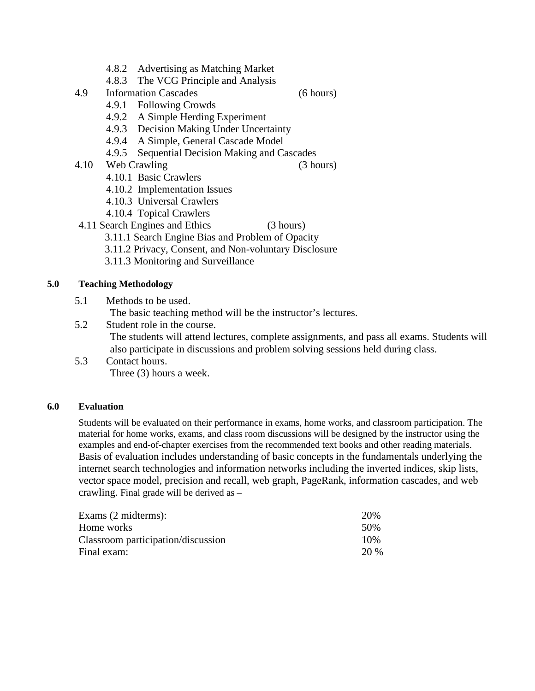- 4.8.2 Advertising as Matching Market
- 4.8.3 The VCG Principle and Analysis
- 4.9 Information Cascades (6 hours)

- 4.9.1 Following Crowds
- 4.9.2 A Simple Herding Experiment
- 4.9.3 Decision Making Under Uncertainty
- 4.9.4 A Simple, General Cascade Model
- 4.9.5 Sequential Decision Making and Cascades
- 4.10 Web Crawling (3 hours)

- 4.10.1 Basic Crawlers
- 4.10.2 Implementation Issues
- 4.10.3 Universal Crawlers
- 4.10.4 Topical Crawlers
- 4.11 Search Engines and Ethics (3 hours)
	- 3.11.1 Search Engine Bias and Problem of Opacity
	- 3.11.2 Privacy, Consent, and Non-voluntary Disclosure
	- 3.11.3 Monitoring and Surveillance

# **5.0 Teaching Methodology**

- 5.1 Methods to be used.
	- The basic teaching method will be the instructor's lectures.
- 5.2 Student role in the course.

The students will attend lectures, complete assignments, and pass all exams. Students will also participate in discussions and problem solving sessions held during class.

5.3 Contact hours. Three (3) hours a week.

# **6.0 Evaluation**

Students will be evaluated on their performance in exams, home works, and classroom participation. The material for home works, exams, and class room discussions will be designed by the instructor using the examples and end-of-chapter exercises from the recommended text books and other reading materials. Basis of evaluation includes understanding of basic concepts in the fundamentals underlying the internet search technologies and information networks including the inverted indices, skip lists, vector space model, precision and recall, web graph, PageRank, information cascades, and web crawling. Final grade will be derived as –

| Exams $(2 \text{ midterms})$ :     | 20%  |
|------------------------------------|------|
| Home works                         | .50% |
| Classroom participation/discussion | 10%  |
| Final exam:                        | 20 % |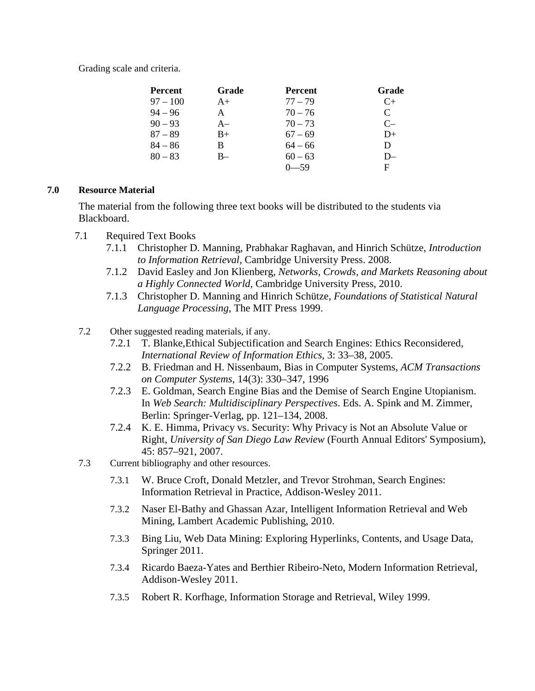Grading scale and criteria.

| <b>Percent</b> | Grade | <b>Percent</b> | Grade                       |
|----------------|-------|----------------|-----------------------------|
| $97 - 100$     | $A+$  | $77 - 79$      | C+                          |
| $94 - 96$      | A     | $70 - 76$      | $\mathcal{C}_{\mathcal{C}}$ |
| $90 - 93$      | $A-$  | $70 - 73$      | $C-$                        |
| $87 - 89$      | $B+$  | $67 - 69$      | D+                          |
| $84 - 86$      | В     | $64 - 66$      | D                           |
| $80 - 83$      | $B-$  | $60 - 63$      | D-                          |
|                |       | -59            | F                           |

# **7.0 Resource Material**

The material from the following three text books will be distributed to the students via Blackboard.

- 7.1 Required Text Books
	- 7.1.1 Christopher D. Manning, Prabhakar Raghavan, and Hinrich Schütze, *Introduction to Information Retrieval*, Cambridge University Press. 2008.
	- 7.1.2 David Easley and Jon Klienberg, *Networks, Crowds, and Markets Reasoning about a Highly Connected World*, Cambridge University Press, 2010.
	- 7.1.3 Christopher D. Manning and Hinrich Schütze*, Foundations of Statistical Natural Language Processing*, The MIT Press 1999.
- 7.2 Other suggested reading materials, if any.
	- 7.2.1 T. Blanke,Ethical Subjectification and Search Engines: Ethics Reconsidered, *International Review of Information Ethics*, 3: 33–38, 2005.
	- 7.2.2 B. Friedman and H. Nissenbaum, Bias in Computer Systems, *ACM Transactions on Computer Systems*, 14(3): 330–347, 1996
	- 7.2.3 E. Goldman, Search Engine Bias and the Demise of Search Engine Utopianism. In *Web Search: Multidisciplinary Perspectives*. Eds. A. Spink and M. Zimmer, Berlin: Springer-Verlag, pp. 121–134, 2008.
	- 7.2.4 K. E. Himma, Privacy vs. Security: Why Privacy is Not an Absolute Value or Right, *University of San Diego Law Review* (Fourth Annual Editors' Symposium), 45: 857–921, 2007.
- 7.3 Current bibliography and other resources.
	- 7.3.1 W. Bruce Croft, Donald Metzler, and Trevor Strohman, Search Engines: Information Retrieval in Practice, Addison-Wesley 2011.
	- 7.3.2 Naser El-Bathy and Ghassan Azar, Intelligent Information Retrieval and Web Mining, Lambert Academic Publishing, 2010.
	- 7.3.3 Bing Liu, Web Data Mining: Exploring Hyperlinks, Contents, and Usage Data, Springer 2011.
	- 7.3.4 Ricardo Baeza-Yates and Berthier Ribeiro-Neto, Modern Information Retrieval, Addison-Wesley 2011.
	- 7.3.5 Robert R. Korfhage, Information Storage and Retrieval, Wiley 1999.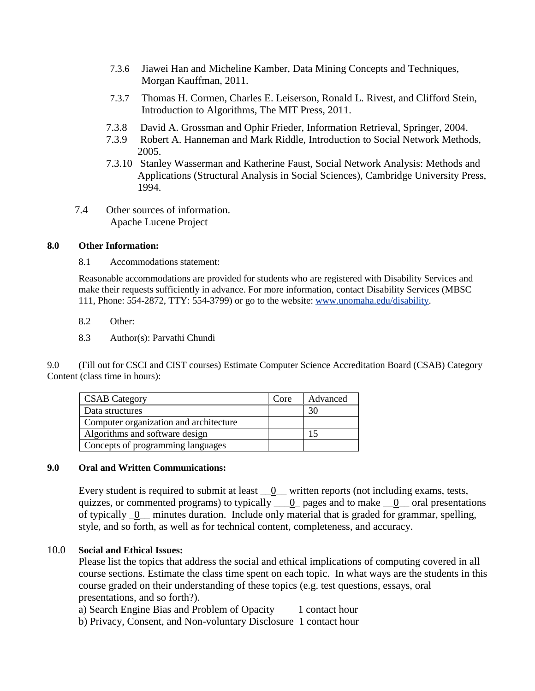- 7.3.6 Jiawei Han and Micheline Kamber, Data Mining Concepts and Techniques, Morgan Kauffman, 2011.
- 7.3.7 Thomas H. Cormen, Charles E. Leiserson, Ronald L. Rivest, and Clifford Stein, Introduction to Algorithms, The MIT Press, 2011.
- 7.3.8 David A. Grossman and Ophir Frieder, Information Retrieval, Springer, 2004.
- 7.3.9 Robert A. Hanneman and Mark Riddle, Introduction to Social Network Methods, 2005.
- 7.3.10 Stanley Wasserman and Katherine Faust, Social Network Analysis: Methods and Applications (Structural Analysis in Social Sciences), Cambridge University Press, 1994.
- 7.4 Other sources of information. Apache Lucene Project

## **8.0 Other Information:**

8.1 Accommodations statement:

Reasonable accommodations are provided for students who are registered with Disability Services and make their requests sufficiently in advance. For more information, contact Disability Services (MBSC 111, Phone: 554-2872, TTY: 554-3799) or go to the website: [www.unomaha.edu/disability.](http://www.unomaha.edu/disability)

- 8.2 Other:
- 8.3 Author(s): Parvathi Chundi

9.0 (Fill out for CSCI and CIST courses) Estimate Computer Science Accreditation Board (CSAB) Category Content (class time in hours):

| <b>CSAB</b> Category                   | Core | Advanced |
|----------------------------------------|------|----------|
| Data structures                        |      | 30       |
| Computer organization and architecture |      |          |
| Algorithms and software design         |      |          |
| Concepts of programming languages      |      |          |

# **9.0 Oral and Written Communications:**

Every student is required to submit at least  $\underline{\hspace{1cm}}0$  written reports (not including exams, tests, quizzes, or commented programs) to typically  $\underline{\hspace{1cm}} 0$  pages and to make  $\underline{\hspace{1cm}} 0$  oral presentations of typically \_0\_\_ minutes duration. Include only material that is graded for grammar, spelling, style, and so forth, as well as for technical content, completeness, and accuracy.

# 10.0 **Social and Ethical Issues:**

Please list the topics that address the social and ethical implications of computing covered in all course sections. Estimate the class time spent on each topic. In what ways are the students in this course graded on their understanding of these topics (e.g. test questions, essays, oral presentations, and so forth?).

a) Search Engine Bias and Problem of Opacity 1 contact hour

b) Privacy, Consent, and Non-voluntary Disclosure 1 contact hour